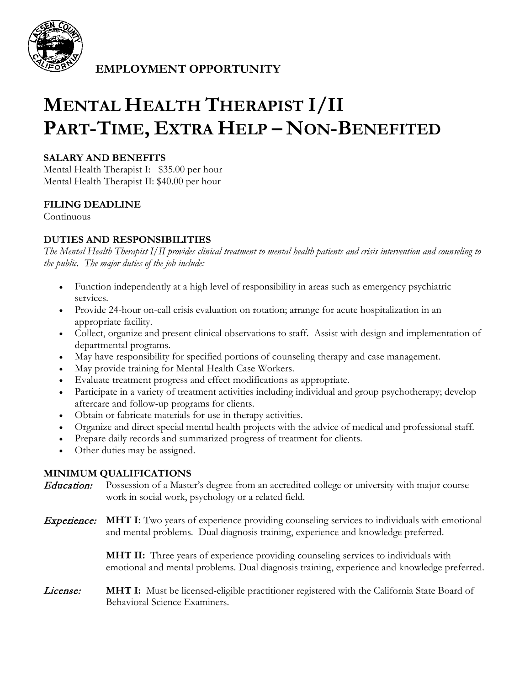

**EMPLOYMENT OPPORTUNITY**

# **MENTAL HEALTH THERAPIST I/II PART-TIME, EXTRA HELP – NON-BENEFITED**

### **SALARY AND BENEFITS**

Mental Health Therapist I: \$35.00 per hour Mental Health Therapist II: \$40.00 per hour

#### **FILING DEADLINE**

Continuous

### **DUTIES AND RESPONSIBILITIES**

*The Mental Health Therapist I/II provides clinical treatment to mental health patients and crisis intervention and counseling to the public. The major duties of the job include:*

- Function independently at a high level of responsibility in areas such as emergency psychiatric services.
- Provide 24-hour on-call crisis evaluation on rotation; arrange for acute hospitalization in an appropriate facility.
- Collect, organize and present clinical observations to staff. Assist with design and implementation of departmental programs.
- May have responsibility for specified portions of counseling therapy and case management.
- May provide training for Mental Health Case Workers.
- Evaluate treatment progress and effect modifications as appropriate.
- Participate in a variety of treatment activities including individual and group psychotherapy; develop aftercare and follow-up programs for clients.
- Obtain or fabricate materials for use in therapy activities.
- Organize and direct special mental health projects with the advice of medical and professional staff.
- Prepare daily records and summarized progress of treatment for clients.
- Other duties may be assigned.

#### **MINIMUM QUALIFICATIONS**

Education: Possession of a Master's degree from an accredited college or university with major course work in social work, psychology or a related field.

Experience: **MHT I:** Two years of experience providing counseling services to individuals with emotional and mental problems. Dual diagnosis training, experience and knowledge preferred.

> **MHT II:** Three years of experience providing counseling services to individuals with emotional and mental problems. Dual diagnosis training, experience and knowledge preferred.

License: **MHT I:** Must be licensed-eligible practitioner registered with the California State Board of Behavioral Science Examiners.